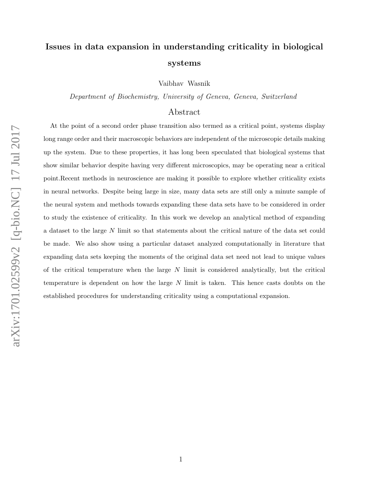# Issues in data expansion in understanding criticality in biological systems

Vaibhav Wasnik

Department of Biochemistry, University of Geneva, Geneva, Switzerland

# Abstract

At the point of a second order phase transition also termed as a critical point, systems display long range order and their macroscopic behaviors are independent of the microscopic details making up the system. Due to these properties, it has long been speculated that biological systems that show similar behavior despite having very different microscopics, may be operating near a critical point.Recent methods in neuroscience are making it possible to explore whether criticality exists in neural networks. Despite being large in size, many data sets are still only a minute sample of the neural system and methods towards expanding these data sets have to be considered in order to study the existence of criticality. In this work we develop an analytical method of expanding a dataset to the large N limit so that statements about the critical nature of the data set could be made. We also show using a particular dataset analyzed computationally in literature that expanding data sets keeping the moments of the original data set need not lead to unique values of the critical temperature when the large  $N$  limit is considered analytically, but the critical temperature is dependent on how the large N limit is taken. This hence casts doubts on the established procedures for understanding criticality using a computational expansion.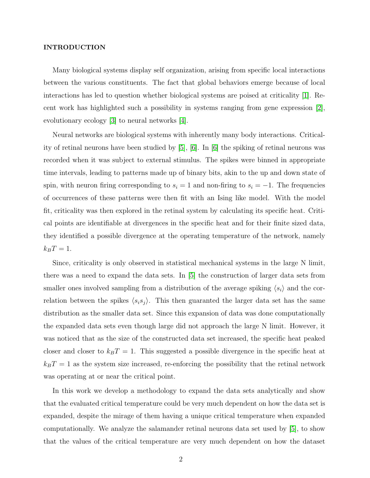#### INTRODUCTION

Many biological systems display self organization, arising from specific local interactions between the various constituents. The fact that global behaviors emerge because of local interactions has led to question whether biological systems are poised at criticality [\[1\]](#page-9-0). Recent work has highlighted such a possibility in systems ranging from gene expression [\[2\]](#page-9-1), evolutionary ecology [\[3\]](#page-9-2) to neural networks [\[4\]](#page-9-3).

Neural networks are biological systems with inherently many body interactions. Criticality of retinal neurons have been studied by [\[5\]](#page-9-4), [\[6\]](#page-9-5). In [\[6\]](#page-9-5) the spiking of retinal neurons was recorded when it was subject to external stimulus. The spikes were binned in appropriate time intervals, leading to patterns made up of binary bits, akin to the up and down state of spin, with neuron firing corresponding to  $s_i = 1$  and non-firing to  $s_i = -1$ . The frequencies of occurrences of these patterns were then fit with an Ising like model. With the model fit, criticality was then explored in the retinal system by calculating its specific heat. Critical points are identifiable at divergences in the specific heat and for their finite sized data, they identified a possible divergence at the operating temperature of the network, namely  $k_BT=1$ .

Since, criticality is only observed in statistical mechanical systems in the large N limit, there was a need to expand the data sets. In [\[5\]](#page-9-4) the construction of larger data sets from smaller ones involved sampling from a distribution of the average spiking  $\langle s_i \rangle$  and the correlation between the spikes  $\langle s_i s_j \rangle$ . This then guaranted the larger data set has the same distribution as the smaller data set. Since this expansion of data was done computationally the expanded data sets even though large did not approach the large N limit. However, it was noticed that as the size of the constructed data set increased, the specific heat peaked closer and closer to  $k_BT = 1$ . This suggested a possible divergence in the specific heat at  $k_BT = 1$  as the system size increased, re-enforcing the possibility that the retinal network was operating at or near the critical point.

In this work we develop a methodology to expand the data sets analytically and show that the evaluated critical temperature could be very much dependent on how the data set is expanded, despite the mirage of them having a unique critical temperature when expanded computationally. We analyze the salamander retinal neurons data set used by [\[5\]](#page-9-4), to show that the values of the critical temperature are very much dependent on how the dataset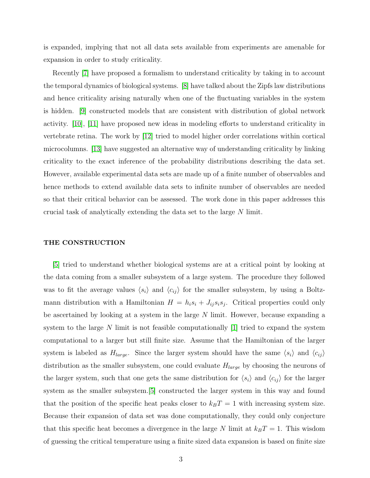is expanded, implying that not all data sets available from experiments are amenable for expansion in order to study criticality.

Recently [\[7\]](#page-9-6) have proposed a formalism to understand criticality by taking in to account the temporal dynamics of biological systems. [\[8\]](#page-9-7) have talked about the Zipfs law distributions and hence criticality arising naturally when one of the fluctuating variables in the system is hidden. [\[9\]](#page-9-8) constructed models that are consistent with distribution of global network activity. [\[10\]](#page-9-9), [\[11\]](#page-9-10) have proposed new ideas in modeling efforts to understand criticality in vertebrate retina. The work by [\[12\]](#page-9-11) tried to model higher order correlations within cortical microcolumns. [\[13\]](#page-9-12) have suggested an alternative way of understanding criticality by linking criticality to the exact inference of the probability distributions describing the data set. However, available experimental data sets are made up of a finite number of observables and hence methods to extend available data sets to infinite number of observables are needed so that their critical behavior can be assessed. The work done in this paper addresses this crucial task of analytically extending the data set to the large N limit.

## THE CONSTRUCTION

[\[5\]](#page-9-4) tried to understand whether biological systems are at a critical point by looking at the data coming from a smaller subsystem of a large system. The procedure they followed was to fit the average values  $\langle s_i \rangle$  and  $\langle c_{ij} \rangle$  for the smaller subsystem, by using a Boltzmann distribution with a Hamiltonian  $H = h_i s_i + J_{ij} s_i s_j$ . Critical properties could only be ascertained by looking at a system in the large  $N$  limit. However, because expanding a system to the large N limit is not feasible computationally  $[1]$  tried to expand the system computational to a larger but still finite size. Assume that the Hamiltonian of the larger system is labeled as  $H_{large}$ . Since the larger system should have the same  $\langle s_i \rangle$  and  $\langle c_{ij} \rangle$ distribution as the smaller subsystem, one could evaluate  $H_{large}$  by choosing the neurons of the larger system, such that one gets the same distribution for  $\langle s_i \rangle$  and  $\langle c_{ij} \rangle$  for the larger system as the smaller subsystem.[\[5\]](#page-9-4) constructed the larger system in this way and found that the position of the specific heat peaks closer to  $k_BT = 1$  with increasing system size. Because their expansion of data set was done computationally, they could only conjecture that this specific heat becomes a divergence in the large N limit at  $k_BT = 1$ . This wisdom of guessing the critical temperature using a finite sized data expansion is based on finite size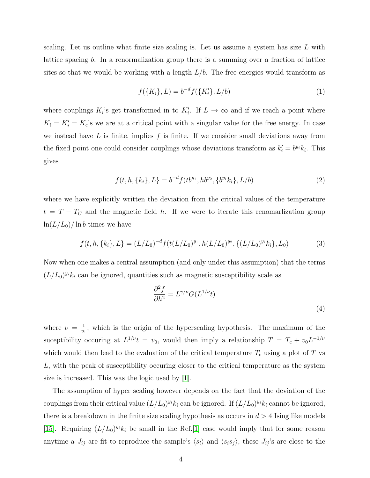scaling. Let us outline what finite size scaling is. Let us assume a system has size  $L$  with lattice spacing b. In a renormalization group there is a summing over a fraction of lattice sites so that we would be working with a length  $L/b$ . The free energies would transform as

$$
f(\{K_i\}, L) = b^{-d} f(\{K'_i\}, L/b)
$$
\n(1)

where couplings  $K_i$ 's get transformed in to  $K_i'$ . If  $L \to \infty$  and if we reach a point where  $K_i = K'_i = K_c$ 's we are at a critical point with a singular value for the free energy. In case we instead have  $L$  is finite, implies  $f$  is finite. If we consider small deviations away from the fixed point one could consider couplings whose deviations transform as  $k'_i = b^{y_i} k_i$ . This gives

$$
f(t, h, \{k_i\}, L\} = b^{-d} f(t b^{y_1}, h b^{y_2}, \{b^{y_i} k_i\}, L/b)
$$
\n<sup>(2)</sup>

where we have explicitly written the deviation from the critical values of the temperature  $t = T - T<sub>C</sub>$  and the magnetic field h. If we were to iterate this renomarlization group  $\ln(L/L_0)/\ln b$  times we have

$$
f(t, h, \{k_i\}, L) = (L/L_0)^{-d} f(t(L/L_0)^{y_1}, h(L/L_0)^{y_2}, \{(L/L_0)^{y_i} k_i\}, L_0)
$$
(3)

Now when one makes a central assumption (and only under this assumption) that the terms  $(L/L_0)^{y_i}k_i$  can be ignored, quantities such as magnetic susceptibility scale as

$$
\frac{\partial^2 f}{\partial h^2} = L^{\gamma/\nu} G(L^{1/\nu} t)
$$
\n(4)

where  $\nu = \frac{1}{w}$  $\frac{1}{y_1}$ , which is the origin of the hyperscaling hypothesis. The maximum of the suceptibility occuring at  $L^{1/\nu}t = v_0$ , would then imply a relationship  $T = T_c + v_0 L^{-1/\nu}$ which would then lead to the evaluation of the critical temperature  $T_c$  using a plot of T vs L, with the peak of susceptibility occuring closer to the critical temperature as the system size is increased. This was the logic used by [\[1\]](#page-9-0).

The assumption of hyper scaling however depends on the fact that the deviation of the couplings from their critical value  $(L/L_0)^{y_i} k_i$  can be ignored. If  $(L/L_0)^{y_i} k_i$  cannot be ignored, there is a breakdown in the finite size scaling hypothesis as occurs in  $d > 4$  Ising like models [\[15\]](#page-9-13). Requiring  $(L/L_0)^{y_i} k_i$  be small in the Ref.[\[1\]](#page-9-0) case would imply that for some reason anytime a  $J_{ij}$  are fit to reproduce the sample's  $\langle s_i \rangle$  and  $\langle s_i s_j \rangle$ , these  $J_{ij}$ 's are close to the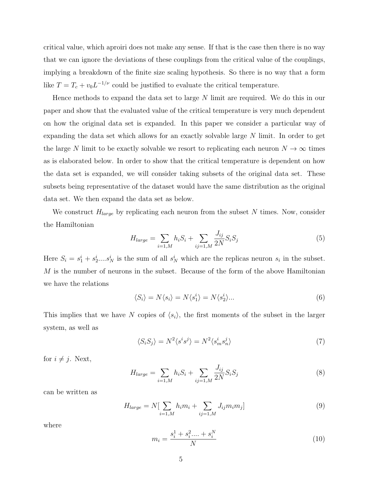critical value, which aproiri does not make any sense. If that is the case then there is no way that we can ignore the deviations of these couplings from the critical value of the couplings, implying a breakdown of the finite size scaling hypothesis. So there is no way that a form like  $T = T_c + v_0 L^{-1/\nu}$  could be justified to evaluate the critical temperature.

Hence methods to expand the data set to large N limit are required. We do this in our paper and show that the evaluated value of the critical temperature is very much dependent on how the original data set is expanded. In this paper we consider a particular way of expanding the data set which allows for an exactly solvable large N limit. In order to get the large N limit to be exactly solvable we resort to replicating each neuron  $N \to \infty$  times as is elaborated below. In order to show that the critical temperature is dependent on how the data set is expanded, we will consider taking subsets of the original data set. These subsets being representative of the dataset would have the same distribution as the original data set. We then expand the data set as below.

We construct  $H_{large}$  by replicating each neuron from the subset N times. Now, consider the Hamiltonian

$$
H_{large} = \sum_{i=1,M} h_i S_i + \sum_{ij=1,M} \frac{J_{ij}}{2N} S_i S_j \tag{5}
$$

Here  $S_i = s_1^i + s_2^i \dots s_N^i$  is the sum of all  $s_N^i$  which are the replicas neuron  $s_i$  in the subset. M is the number of neurons in the subset. Because of the form of the above Hamiltonian we have the relations

$$
\langle S_i \rangle = N \langle s_i \rangle = N \langle s_1^i \rangle = N \langle s_2^i \rangle \dots \tag{6}
$$

This implies that we have N copies of  $\langle s_i \rangle$ , the first moments of the subset in the larger system, as well as

$$
\langle S_i S_j \rangle = N^2 \langle s^i s^j \rangle = N^2 \langle s_m^i s_n^j \rangle \tag{7}
$$

for  $i \neq j$ . Next,

$$
H_{large} = \sum_{i=1,M} h_i S_i + \sum_{ij=1,M} \frac{J_{ij}}{2N} S_i S_j \tag{8}
$$

can be written as

$$
H_{large} = N[\sum_{i=1,M} h_i m_i + \sum_{ij=1,M} J_{ij} m_i m_j]
$$
 (9)

where

$$
m_i = \frac{s_i^1 + s_i^2 \dots + s_i^N}{N} \tag{10}
$$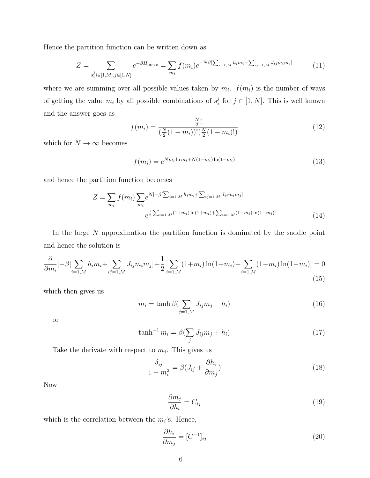Hence the partition function can be written down as

$$
Z = \sum_{s_i^j i \in [1,M], j \in [1,N]} e^{-\beta H_{large}} = \sum_{m_i} f(m_i) e^{-N\beta [\sum_{i=1,M} h_i m_i + \sum_{ij=1,M} J_{ij} m_i m_j]} \tag{11}
$$

where we are summing over all possible values taken by  $m_i$ .  $f(m_i)$  is the number of ways of getting the value  $m_i$  by all possible combinations of  $s_i^j$  $j_i$  for  $j \in [1, N]$ . This is well known and the answer goes as

$$
f(m_i) = \frac{\frac{N}{2}!}{(\frac{N}{2}(1+m_i))!(\frac{N}{2}(1-m_i)!)}
$$
(12)

which for  $N\to\infty$  becomes

$$
f(m_i) = e^{Nm_i \ln m_i + N(1 - m_i) \ln(1 - m_i)}
$$
\n(13)

and hence the partition function becomes

$$
Z = \sum_{m_i} f(m_i) \sum_{m_i} e^{N[-\beta[\sum_{i=1,M} h_i m_i + \sum_{ij=1,M} J_{ij} m_i m_j]} \neq \frac{1}{2} \sum_{i=1,M} (1+m_i) \ln(1+m_i) + \sum_{i=1,M} (1-m_i) \ln(1-m_i)] \tag{14}
$$

In the large N approximation the partition function is dominated by the saddle point and hence the solution is

$$
\frac{\partial}{\partial m_i}[-\beta[\sum_{i=1,M} h_i m_i + \sum_{ij=1,M} J_{ij} m_i m_j] + \frac{1}{2} \sum_{i=1,M} (1+m_i) \ln(1+m_i) + \sum_{i=1,M} (1-m_i) \ln(1-m_i)] = 0
$$
\n(15)

which then gives us

$$
m_i = \tanh \beta \left( \sum_{j=1,M} J_{ij} m_j + h_i \right) \tag{16}
$$

or

$$
\tanh^{-1} m_i = \beta \left(\sum_j J_{ij} m_j + h_i\right) \tag{17}
$$

Take the derivate with respect to  $m_j$ . This gives us

$$
\frac{\delta_{ij}}{1 - m_i^2} = \beta (J_{ij} + \frac{\partial h_i}{\partial m_j})
$$
\n(18)

Now

$$
\frac{\partial m_j}{\partial h_i} = C_{ij} \tag{19}
$$

which is the correlation between the  $m_i$ 's. Hence,

$$
\frac{\partial h_i}{\partial m_j} = [C^{-1}]_{ij} \tag{20}
$$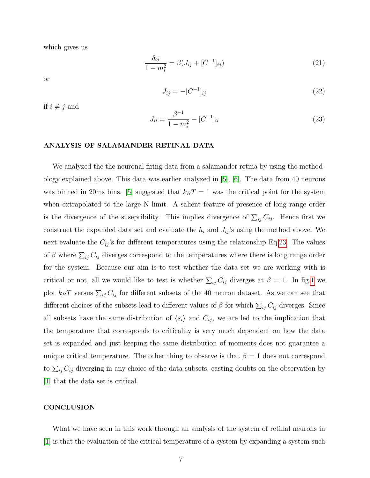which gives us

if  $i \neq j$  and

$$
\frac{\delta_{ij}}{1 - m_i^2} = \beta (J_{ij} + [C^{-1}]_{ij})
$$
\n(21)

or

$$
J_{ij} = -[C^{-1}]_{ij} \tag{22}
$$

<span id="page-6-0"></span>
$$
J_{ii} = \frac{\beta^{-1}}{1 - m_i^2} - [C^{-1}]_{ii}
$$
\n(23)

### ANALYSIS OF SALAMANDER RETINAL DATA

We analyzed the the neuronal firing data from a salamander retina by using the methodology explained above. This data was earlier analyzed in [\[5\]](#page-9-4), [\[6\]](#page-9-5). The data from 40 neurons was binned in 20ms bins. [\[5\]](#page-9-4) suggested that  $k_BT = 1$  was the critical point for the system when extrapolated to the large N limit. A salient feature of presence of long range order is the divergence of the suseptibility. This implies divergence of  $\sum_{ij} C_{ij}$ . Hence first we construct the expanded data set and evaluate the  $h_i$  and  $J_{ij}$ 's using the method above. We next evaluate the  $C_{ij}$ 's for different temperatures using the relationship Eq[.23.](#page-6-0) The values of  $\beta$  where  $\sum_{ij} C_{ij}$  diverges correspond to the temperatures where there is long range order for the system. Because our aim is to test whether the data set we are working with is critical or not, all we would like to test is whether  $\sum_{ij} C_{ij}$  diverges at  $\beta = 1$ . In fig[.1](#page-8-0) we plot  $k_B T$  versus  $\sum_{ij} C_{ij}$  for different subsets of the 40 neuron dataset. As we can see that different choices of the subsets lead to different values of  $\beta$  for which  $\sum_{ij} C_{ij}$  diverges. Since all subsets have the same distribution of  $\langle s_i \rangle$  and  $C_{ij}$ , we are led to the implication that the temperature that corresponds to criticality is very much dependent on how the data set is expanded and just keeping the same distribution of moments does not guarantee a unique critical temperature. The other thing to observe is that  $\beta = 1$  does not correspond to  $\sum_{ij} C_{ij}$  diverging in any choice of the data subsets, casting doubts on the observation by [\[1\]](#page-9-0) that the data set is critical.

#### **CONCLUSION**

What we have seen in this work through an analysis of the system of retinal neurons in [\[1\]](#page-9-0) is that the evaluation of the critical temperature of a system by expanding a system such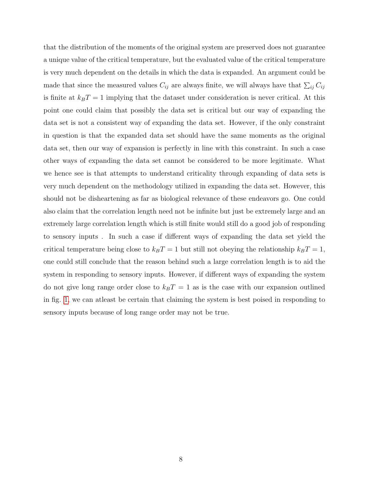that the distribution of the moments of the original system are preserved does not guarantee a unique value of the critical temperature, but the evaluated value of the critical temperature is very much dependent on the details in which the data is expanded. An argument could be made that since the measured values  $C_{ij}$  are always finite, we will always have that  $\sum_{ij} C_{ij}$ is finite at  $k_BT = 1$  implying that the dataset under consideration is never critical. At this point one could claim that possibly the data set is critical but our way of expanding the data set is not a consistent way of expanding the data set. However, if the only constraint in question is that the expanded data set should have the same moments as the original data set, then our way of expansion is perfectly in line with this constraint. In such a case other ways of expanding the data set cannot be considered to be more legitimate. What we hence see is that attempts to understand criticality through expanding of data sets is very much dependent on the methodology utilized in expanding the data set. However, this should not be disheartening as far as biological relevance of these endeavors go. One could also claim that the correlation length need not be infinite but just be extremely large and an extremely large correlation length which is still finite would still do a good job of responding to sensory inputs . In such a case if different ways of expanding the data set yield the critical temperature being close to  $k_BT = 1$  but still not obeying the relationship  $k_BT = 1$ , one could still conclude that the reason behind such a large correlation length is to aid the system in responding to sensory inputs. However, if different ways of expanding the system do not give long range order close to  $k_BT = 1$  as is the case with our expansion outlined in fig. [1,](#page-8-0) we can atleast be certain that claiming the system is best poised in responding to sensory inputs because of long range order may not be true.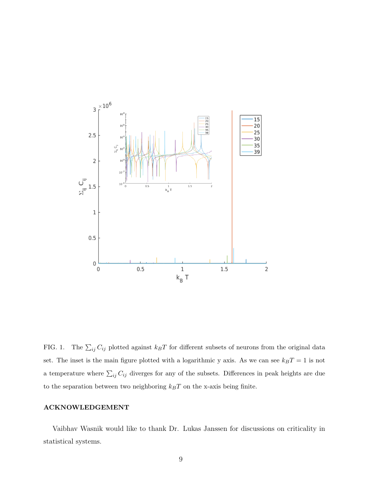

<span id="page-8-0"></span>FIG. 1. The  $\sum_{ij} C_{ij}$  plotted against  $k_B T$  for different subsets of neurons from the original data set. The inset is the main figure plotted with a logarithmic y axis. As we can see  $k_BT = 1$  is not a temperature where  $\sum_{ij} C_{ij}$  diverges for any of the subsets. Differences in peak heights are due to the separation between two neighboring  $k_BT$  on the x-axis being finite.

# ACKNOWLEDGEMENT

Vaibhav Wasnik would like to thank Dr. Lukas Janssen for discussions on criticality in statistical systems.